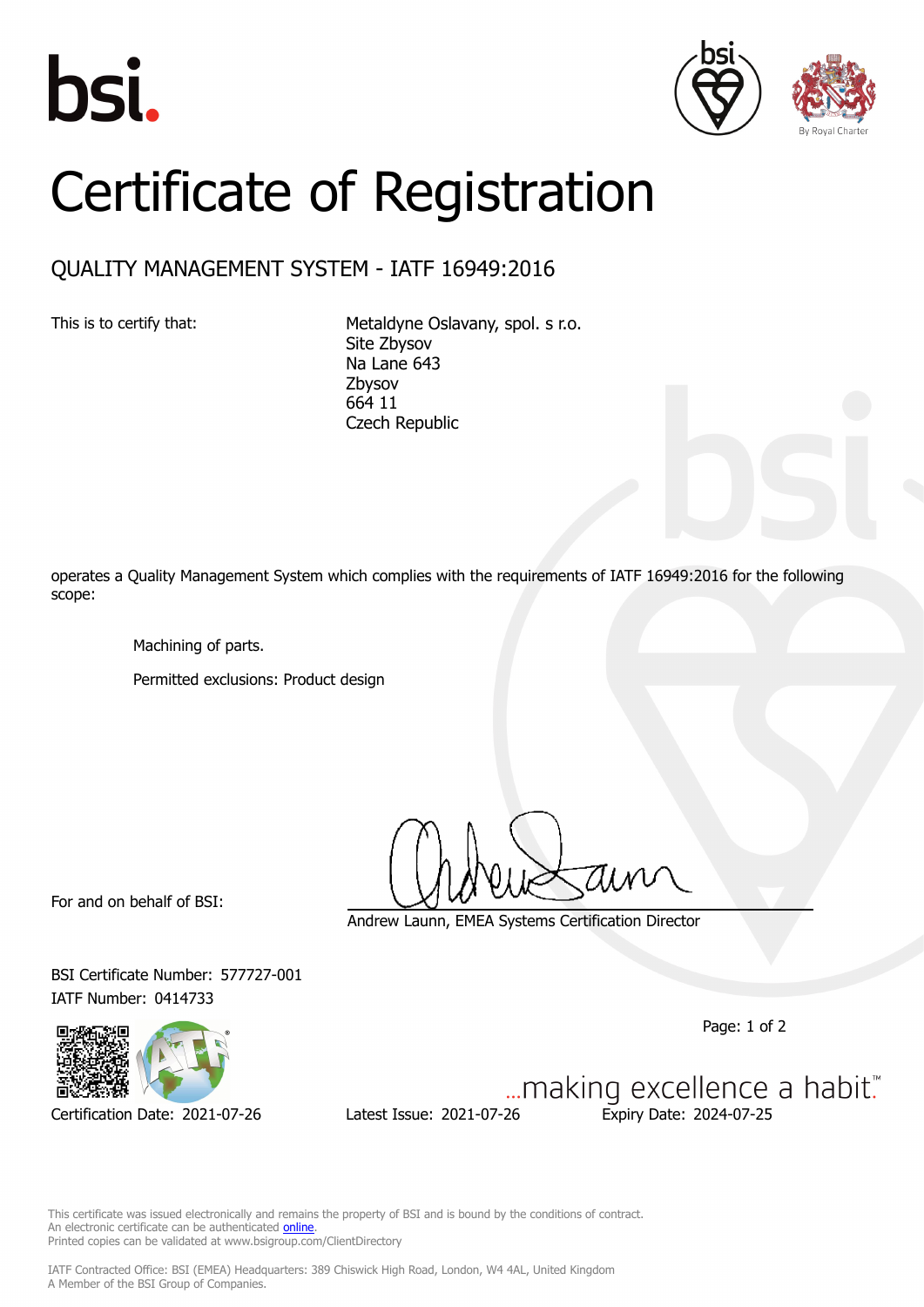





## Certificate of Registration

## QUALITY MANAGEMENT SYSTEM - IATF 16949:2016

This is to certify that: Metaldyne Oslavany, spol. s r.o. Site Zbysov Na Lane 643 Zbysov 664 11 Czech Republic

operates a Quality Management System which complies with the requirements of IATF 16949:2016 for the following scope:

Machining of parts.

Permitted exclusions: Product design

For and on behalf of BSI:

Andrew Launn, EMEA Systems Certification Director

BSI Certificate Number: 577727-001 IATF Number: 0414733

Page: 1 of 2



Certification Date: 2021-07-26 Latest Issue: 2021-07-26 Expiry Date: 2024-07-25

... making excellence a habit."

This certificate was issued electronically and remains the property of BSI and is bound by the conditions of contract. An electronic certificate can be authenticated **[online](https://pgplus.bsigroup.com/CertificateValidation/CertificateValidator.aspx?CertificateNumber=TS+577727-001&ReIssueDate=26%2f07%2f2021&Template=cemea_en)** Printed copies can be validated at www.bsigroup.com/ClientDirectory

IATF Contracted Office: BSI (EMEA) Headquarters: 389 Chiswick High Road, London, W4 4AL, United Kingdom A Member of the BSI Group of Companies.